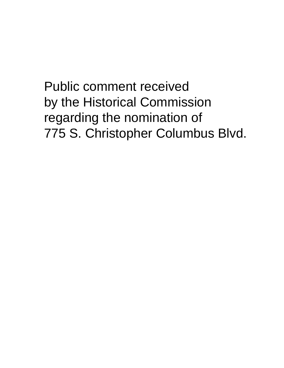**Public comment received** by the Historical Commission regarding the nomination of 775 S. Christopher Columbus Blvd.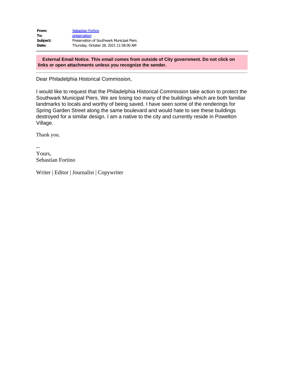| From:    | <b>Sebastian Fortino</b>                   |
|----------|--------------------------------------------|
| To:      | preservation                               |
| Subject: | Preservation of Southwark Municipal Piers. |
| Date:    | Thursday, October 28, 2021 11:58:00 AM     |

**External Email Notice. This email comes from outside of City government. Do not click on links or open attachments unless you recognize the sender.**

Dear Philadelphia Historical Commission,

I would like to request that the Philadelphia Historical Commission take action to protect the Southwark Municipal Piers. We are losing too many of the buildings which are both familiar landmarks to locals and worthy of being saved. I have seen some of the renderings for Spring Garden Street along the same boulevard and would hate to see these buildings destroyed for a similar design. I am a native to the city and currently reside in Powelton Village.

Thank you.

-- Yours, Sebastian Fortino

Writer | Editor | Journalist | Copywriter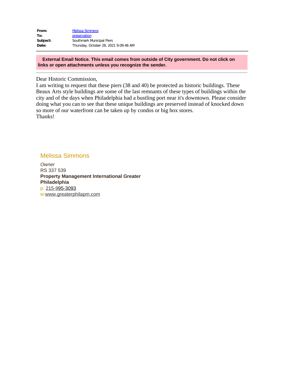| From:    | <b>Melissa Simmons</b>                |
|----------|---------------------------------------|
| To:      | preservation                          |
| Subject: | Southmark Municipal Piers             |
| Date:    | Thursday, October 28, 2021 9:09:46 AM |

**External Email Notice. This email comes from outside of City government. Do not click on links or open attachments unless you recognize the sender.**

Dear Historic Commission,

I am writing to request that these piers (38 and 40) be protected as historic buildings. These Beaux Arts style buildings are some of the last remnants of these types of buildings within the city and of the days when Philadelphia had a bustling port near it's downtown. Please consider doing what you can to see that these unique buildings are preserved instead of knocked down so more of our waterfront can be taken up by condos or big box stores. Thanks!

## Melissa Simmons

*Owner* RS 337 539 **Property Management International Greater Philadelphia** p: [215-9](tel:555-555-555)95-3093 w:[www.greaterphilapm.com](https://gcc02.safelinks.protection.outlook.com/?url=https%3A%2F%2Fwww.greaterphilapm.com%2F&data=04%7C01%7Cpreservation%40phila.gov%7C01ce9cd5dba04061deac08d99a141072%7C2046864f68ea497daf34a6629a6cd700%7C0%7C0%7C637710233858186180%7CUnknown%7CTWFpbGZsb3d8eyJWIjoiMC4wLjAwMDAiLCJQIjoiV2luMzIiLCJBTiI6Ik1haWwiLCJXVCI6Mn0%3D%7C2000&sdata=F38pTtQFgkDGbxiLNSszRl%2BGgralhHRWX4qi4T243DA%3D&reserved=0)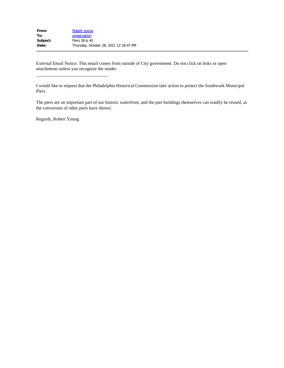| Robert young                           |
|----------------------------------------|
| preservation                           |
| Piers 38 & 40                          |
| Thursday, October 28, 2021 12:18:47 PM |
|                                        |

 $\frac{1}{2}$  , and the set of the set of the set of the set of the set of the set of the set of the set of the set of the set of the set of the set of the set of the set of the set of the set of the set of the set of the set

External Email Notice. This email comes from outside of City government. Do not click on links or open attachments unless you recognize the sender.

I would like to request that the Philadelphia Historical Commission take action to protect the Southwark Municipal Piers.

The piers are an important part of our historic waterfront, and the pier buildings themselves can readily be reused, as the conversion of other piers have shown.

Regards, Robert Young